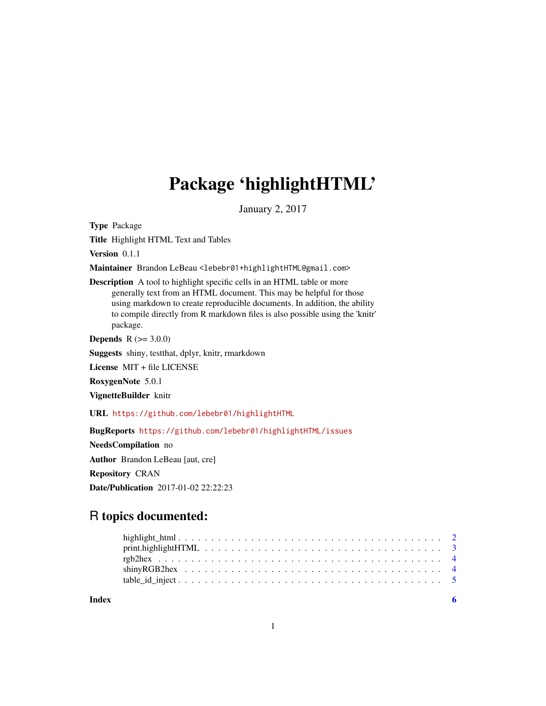## Package 'highlightHTML'

January 2, 2017

Type Package

Title Highlight HTML Text and Tables

Version 0.1.1

Maintainer Brandon LeBeau <lebebr01+highlightHTML@gmail.com>

Description A tool to highlight specific cells in an HTML table or more generally text from an HTML document. This may be helpful for those using markdown to create reproducible documents. In addition, the ability to compile directly from R markdown files is also possible using the 'knitr' package.

**Depends**  $R (= 3.0.0)$ 

Suggests shiny, testthat, dplyr, knitr, rmarkdown

License MIT + file LICENSE

RoxygenNote 5.0.1

VignetteBuilder knitr

URL <https://github.com/lebebr01/highlightHTML>

BugReports <https://github.com/lebebr01/highlightHTML/issues>

NeedsCompilation no Author Brandon LeBeau [aut, cre] Repository CRAN Date/Publication 2017-01-02 22:22:23

### R topics documented:

**Index** [6](#page-5-0) **6**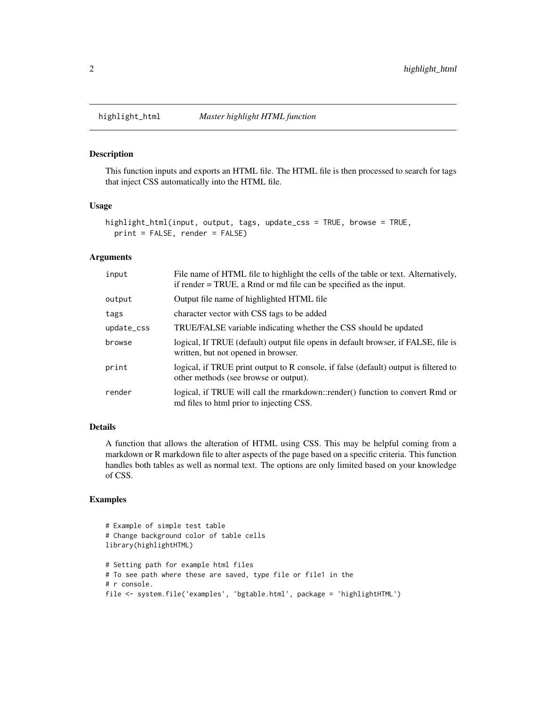#### Description

This function inputs and exports an HTML file. The HTML file is then processed to search for tags that inject CSS automatically into the HTML file.

#### Usage

```
highlight_html(input, output, tags, update_css = TRUE, browse = TRUE,
 print = FALSE, render = FALSE)
```
#### Arguments

| input      | File name of HTML file to highlight the cells of the table or text. Alternatively,<br>if render = TRUE, a Rmd or md file can be specified as the input. |
|------------|---------------------------------------------------------------------------------------------------------------------------------------------------------|
| output     | Output file name of highlighted HTML file                                                                                                               |
| tags       | character vector with CSS tags to be added                                                                                                              |
| update_css | TRUE/FALSE variable indicating whether the CSS should be updated                                                                                        |
| browse     | logical, If TRUE (default) output file opens in default browser, if FALSE, file is<br>written, but not opened in browser.                               |
| print      | logical, if TRUE print output to R console, if false (default) output is filtered to<br>other methods (see browse or output).                           |
| render     | logical, if TRUE will call the rmarkdown::render() function to convert Rmd or<br>md files to html prior to injecting CSS.                               |

#### Details

A function that allows the alteration of HTML using CSS. This may be helpful coming from a markdown or R markdown file to alter aspects of the page based on a specific criteria. This function handles both tables as well as normal text. The options are only limited based on your knowledge of CSS.

#### Examples

```
# Example of simple test table
# Change background color of table cells
library(highlightHTML)
# Setting path for example html files
# To see path where these are saved, type file or file1 in the
# r console.
file <- system.file('examples', 'bgtable.html', package = 'highlightHTML')
```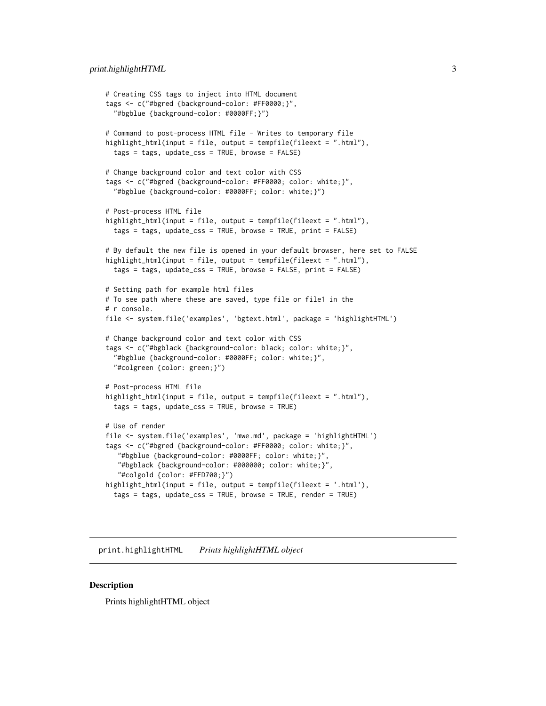```
# Creating CSS tags to inject into HTML document
tags <- c("#bgred {background-color: #FF0000;}",
  "#bgblue {background-color: #0000FF;}")
# Command to post-process HTML file - Writes to temporary file
highlight_html(input = file, output = tempfile(fileext = ".html"),
  tags = tags, update_css = TRUE, browse = FALSE)
# Change background color and text color with CSS
tags <- c("#bgred {background-color: #FF0000; color: white;}",
  "#bgblue {background-color: #0000FF; color: white;}")
# Post-process HTML file
highlight_html(input = file, output = tempfile(fileext = ".html"),
  tags = tags, update_css = TRUE, browse = TRUE, print = FALSE)
# By default the new file is opened in your default browser, here set to FALSE
highlight_html(input = file, output = tempfile(fileext = ".html"),
  tags = tags, update_css = TRUE, browse = FALSE, print = FALSE)
# Setting path for example html files
# To see path where these are saved, type file or file1 in the
# r console.
file <- system.file('examples', 'bgtext.html', package = 'highlightHTML')
# Change background color and text color with CSS
tags <- c("#bgblack {background-color: black; color: white;}",
  "#bgblue {background-color: #0000FF; color: white;}",
  "#colgreen {color: green;}")
# Post-process HTML file
highlight_html(input = file, output = tempfile(fileext = ".html"),
  tags = tags, update_css = TRUE, browse = TRUE)
# Use of render
file <- system.file('examples', 'mwe.md', package = 'highlightHTML')
tags <- c("#bgred {background-color: #FF0000; color: white;}",
   "#bgblue {background-color: #0000FF; color: white;}",
   "#bgblack {background-color: #000000; color: white;}",
   "#colgold {color: #FFD700;}")
highlight_html(input = file, output = tempfile(fileext = '.html'),
  tags = tags, update_css = TRUE, browse = TRUE, render = TRUE)
```
print.highlightHTML *Prints highlightHTML object*

#### Description

Prints highlightHTML object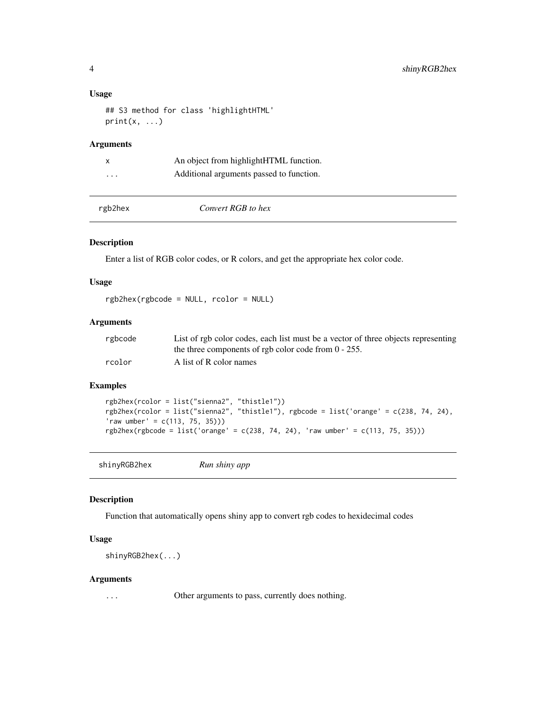#### <span id="page-3-0"></span>Usage

```
## S3 method for class 'highlightHTML'
print(x, \ldots)
```
#### Arguments

| X       | An object from highlight HTML function.  |
|---------|------------------------------------------|
| $\cdot$ | Additional arguments passed to function. |

|  | ∙gb2hex |  |
|--|---------|--|
|  |         |  |
|  |         |  |

rgb2hex *Convert RGB to hex*

#### Description

Enter a list of RGB color codes, or R colors, and get the appropriate hex color code.

#### Usage

rgb2hex(rgbcode = NULL, rcolor = NULL)

#### Arguments

| rgbcode | List of rgb color codes, each list must be a vector of three objects representing |
|---------|-----------------------------------------------------------------------------------|
|         | the three components of rgb color code from $0 - 255$ .                           |
| rcolor  | A list of R color names                                                           |

#### Examples

```
rgb2hex(rcolor = list("sienna2", "thistle1"))
rgb2hex(rcolor = list("sienna2", "thistle1"), rgbcode = list('orange' = c(238, 74, 24),
'raw umber' = c(113, 75, 35)))
rgb2hex(rgbcode = list('orange' = c(238, 74, 24), 'raw umber' = c(113, 75, 35)))
```
shinyRGB2hex *Run shiny app*

#### Description

Function that automatically opens shiny app to convert rgb codes to hexidecimal codes

#### Usage

shinyRGB2hex(...)

#### Arguments

... Other arguments to pass, currently does nothing.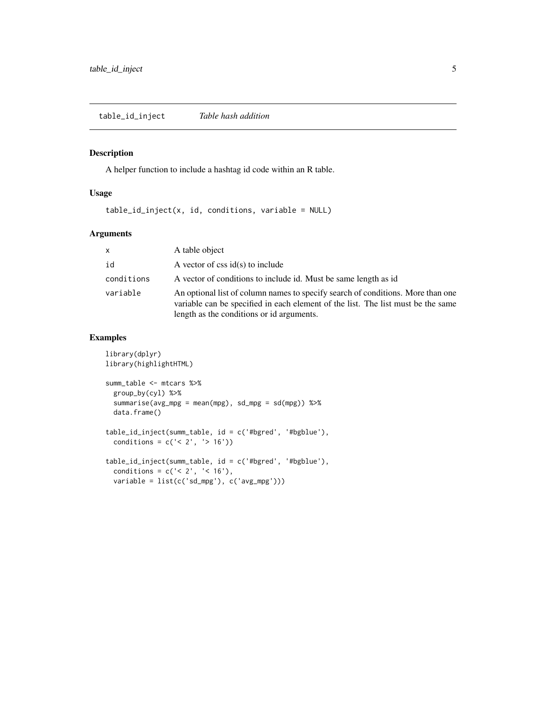#### <span id="page-4-0"></span>Description

A helper function to include a hashtag id code within an R table.

#### Usage

table\_id\_inject(x, id, conditions, variable = NULL)

#### Arguments

| $\mathsf{x}$ | A table object                                                                                                                                                                                                   |
|--------------|------------------------------------------------------------------------------------------------------------------------------------------------------------------------------------------------------------------|
| id           | A vector of $\text{css}$ id(s) to include                                                                                                                                                                        |
| conditions   | A vector of conditions to include id. Must be same length as id                                                                                                                                                  |
| variable     | An optional list of column names to specify search of conditions. More than one<br>variable can be specified in each element of the list. The list must be the same<br>length as the conditions or id arguments. |

#### Examples

```
library(dplyr)
library(highlightHTML)
summ_table <- mtcars %>%
  group_by(cyl) %>%
  summarise(avg_mpg = mean(mpg), sd_mpg = sd(mpg)) %>%
  data.frame()
table_id_inject(summ_table, id = c('#bgred', '#bgblue'),
  conditions = c('< 2', '> 16'))table_id_inject(summ_table, id = c('#bgred', '#bgblue'),
  conditions = c('< 2', '< 16'),
  variable = list(c('sd_mpg'), c('avg_mpg')))
```